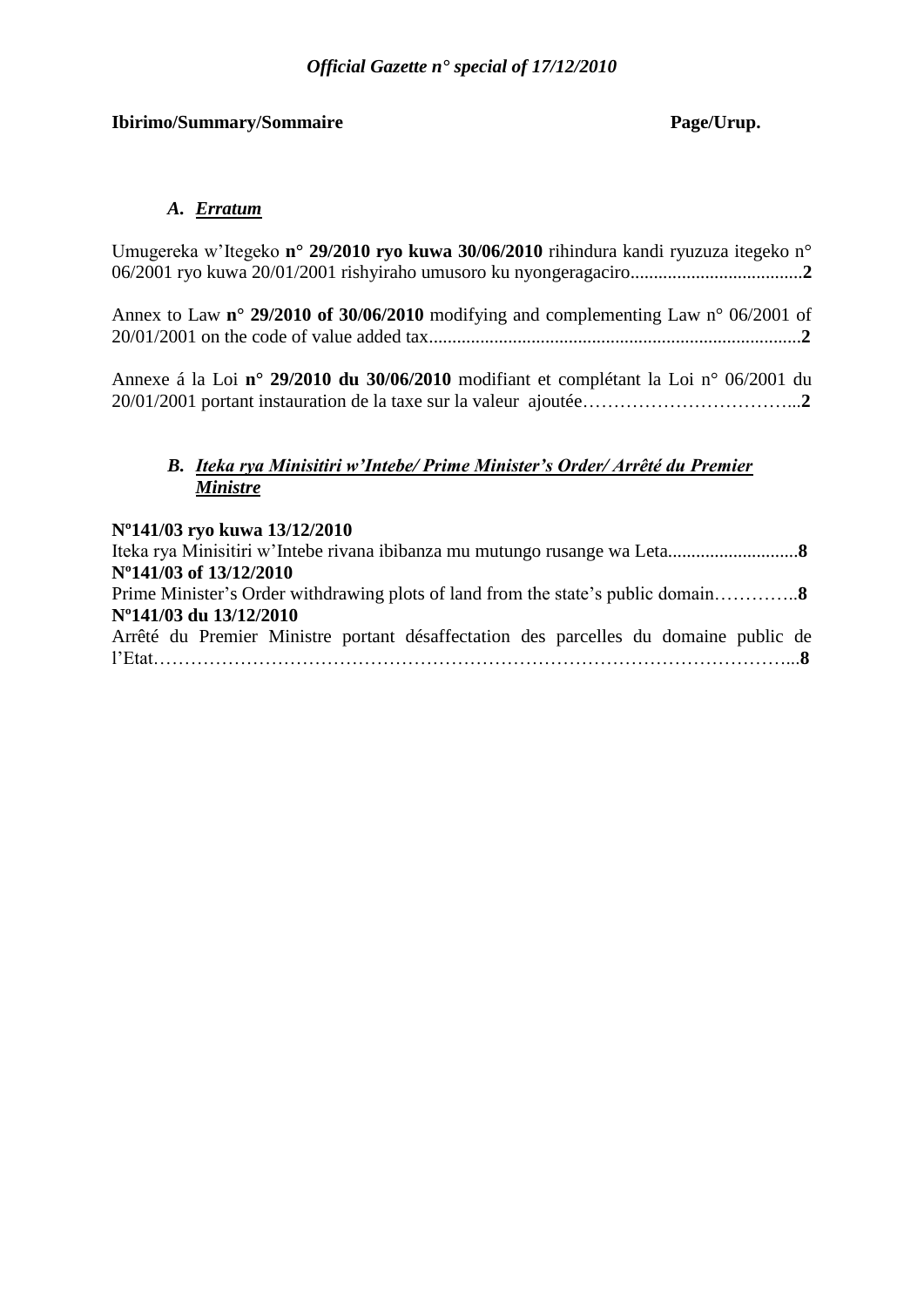# **Ibirimo/Summary/Sommaire Page/Urup.**

# *A. Erratum*

| Umugereka w'Itegeko n° 29/2010 ryo kuwa 30/06/2010 rihindura kandi ryuzuza itegeko n°                 |  |
|-------------------------------------------------------------------------------------------------------|--|
|                                                                                                       |  |
|                                                                                                       |  |
| Annex to Law $n^{\circ}$ 29/2010 of 30/06/2010 modifying and complementing Law $n^{\circ}$ 06/2001 of |  |

20/01/2001 on the code of value added tax................................................................................**2** Annexe á la Loi **n° 29/2010 du 30/06/2010** modifiant et complétant la Loi n° 06/2001 du

20/01/2001 portant instauration de la taxe sur la valeur ajoutée……………………………...**2**

# *B. Iteka rya Minisitiri w'Intebe/ Prime Minister's Order/ Arrêté du Premier Ministre*

# **Nº141/03 ryo kuwa 13/12/2010**

| N°141/03 of 13/12/2010                                                               |
|--------------------------------------------------------------------------------------|
|                                                                                      |
| N°141/03 du 13/12/2010                                                               |
| Arrêté du Premier Ministre portant désaffectation des parcelles du domaine public de |
|                                                                                      |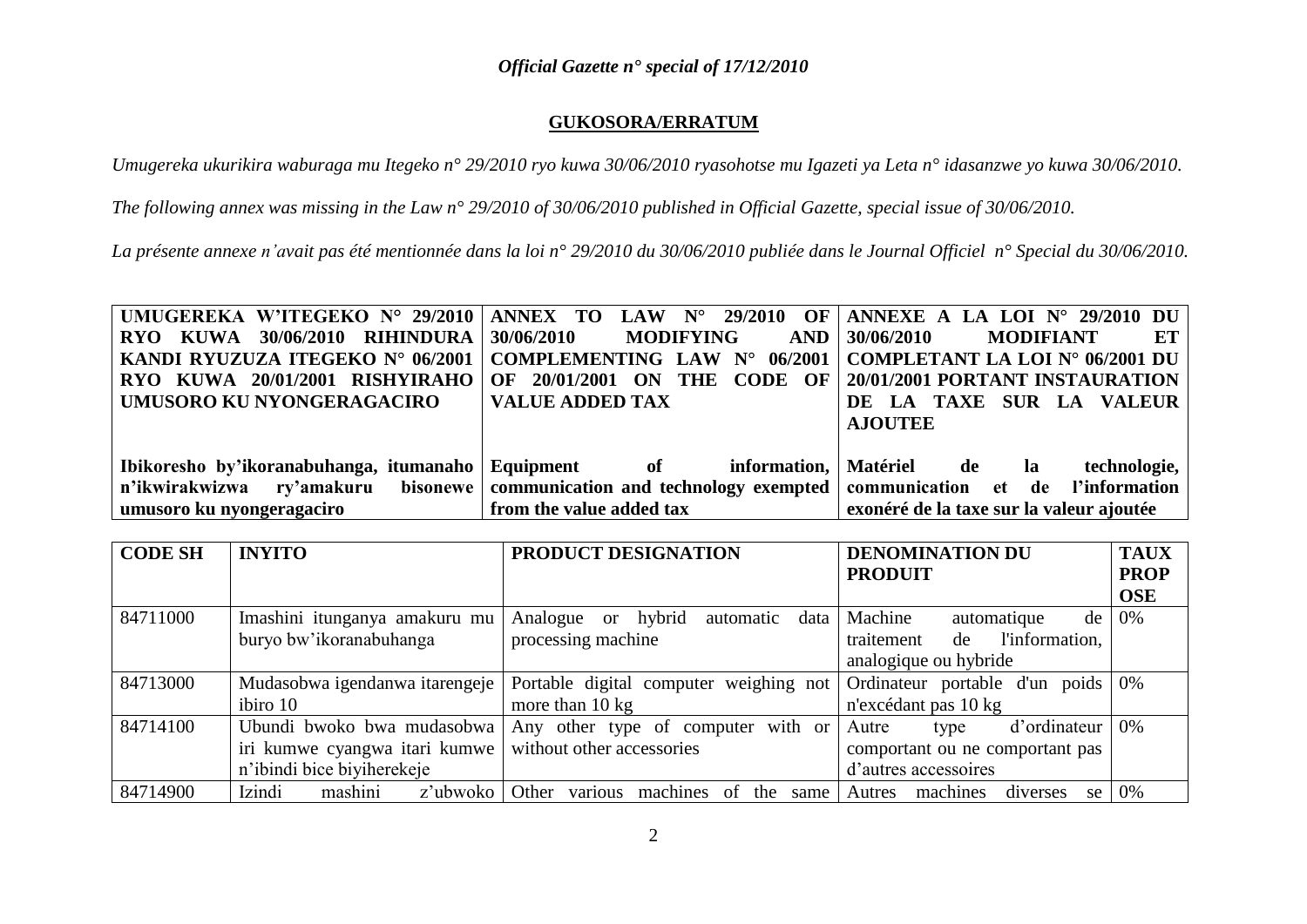# **GUKOSORA/ERRATUM**

*Umugereka ukurikira waburaga mu Itegeko n° 29/2010 ryo kuwa 30/06/2010 ryasohotse mu Igazeti ya Leta n° idasanzwe yo kuwa 30/06/2010.*

*The following annex was missing in the Law n° 29/2010 of 30/06/2010 published in Official Gazette, special issue of 30/06/2010.*

*La présente annexe n'avait pas été mentionnée dans la loi n° 29/2010 du 30/06/2010 publiée dans le Journal Officiel n° Special du 30/06/2010.*

| UMUGEREKA W'ITEGEKO N° 29/2010   ANNEX TO LAW N° 29/2010 OF   ANNEXE A LA LOI N° 29/2010 DU                |                                                                |                                                 |
|------------------------------------------------------------------------------------------------------------|----------------------------------------------------------------|-------------------------------------------------|
| RYO KUWA 30/06/2010 RIHINDURA                                                                              | $ 30/06/2010$ MODIFYING                                        | $AND \mid 30/06/2010$<br><b>MODIFIANT</b><br>ET |
| <b>KANDI RYUZUZA ITEGEKO N° 06/2001</b>                                                                    | COMPLEMENTING LAW N° 06/2001   COMPLETANT LA LOI N° 06/2001 DU |                                                 |
| RYO KUWA 20/01/2001 RISHYIRAHO                                                                             | 20/01/2001 ON THE CODE OF<br>OF                                | <b>20/01/2001 PORTANT INSTAURATION</b>          |
| UMUSORO KU NYONGERAGACIRO                                                                                  | <b>VALUE ADDED TAX</b>                                         | DE LA TAXE SUR LA VALEUR                        |
|                                                                                                            |                                                                | <b>AJOUTEE</b>                                  |
|                                                                                                            |                                                                |                                                 |
| Ibikoresho by'ikoranabuhanga, itumanaho   Equipment of information,   Matériel de la                       |                                                                | technologie,                                    |
| n'ikwirakwizwa ry'amakuru bisonewe communication and technology exempted communication et de l'information |                                                                |                                                 |
| umusoro ku nyongeragaciro                                                                                  | from the value added tax                                       | exonéré de la taxe sur la valeur ajoutée        |

| <b>CODE SH</b> | <b>INYITO</b>                  | PRODUCT DESIGNATION                                      | <b>DENOMINATION DU</b>                | <b>TAUX</b> |
|----------------|--------------------------------|----------------------------------------------------------|---------------------------------------|-------------|
|                |                                |                                                          | <b>PRODUIT</b>                        | <b>PROP</b> |
|                |                                |                                                          |                                       | <b>OSE</b>  |
| 84711000       | Imashini itunganya amakuru mu  | hybrid<br>Analogue<br>data<br>automatic<br><sub>or</sub> | Machine<br>automatique<br>de          | 0%          |
|                | buryo bw'ikoranabuhanga        | processing machine                                       | l'information,<br>traitement<br>de    |             |
|                |                                |                                                          | analogique ou hybride                 |             |
| 84713000       | Mudasobwa igendanwa itarengeje | Portable digital computer weighing not                   | Ordinateur portable d'un poids        | 0%          |
|                | ibiro 10                       | more than $10 \text{ kg}$                                | n'excédant pas 10 kg                  |             |
| 84714100       | Ubundi bwoko bwa mudasobwa     | Any other type of computer with or                       | d'ordinateur<br>Autre<br>type         | 0%          |
|                | iri kumwe cyangwa itari kumwe  | without other accessories                                | comportant ou ne comportant pas       |             |
|                | n'ibindi bice biyiherekeje     |                                                          | d'autres accessoires                  |             |
| 84714900       | Izindi<br>mashini<br>z'ubwoko  | various<br>Other<br>machines of<br>the same              | machines<br>Autres<br>diverses<br>se. | 0%          |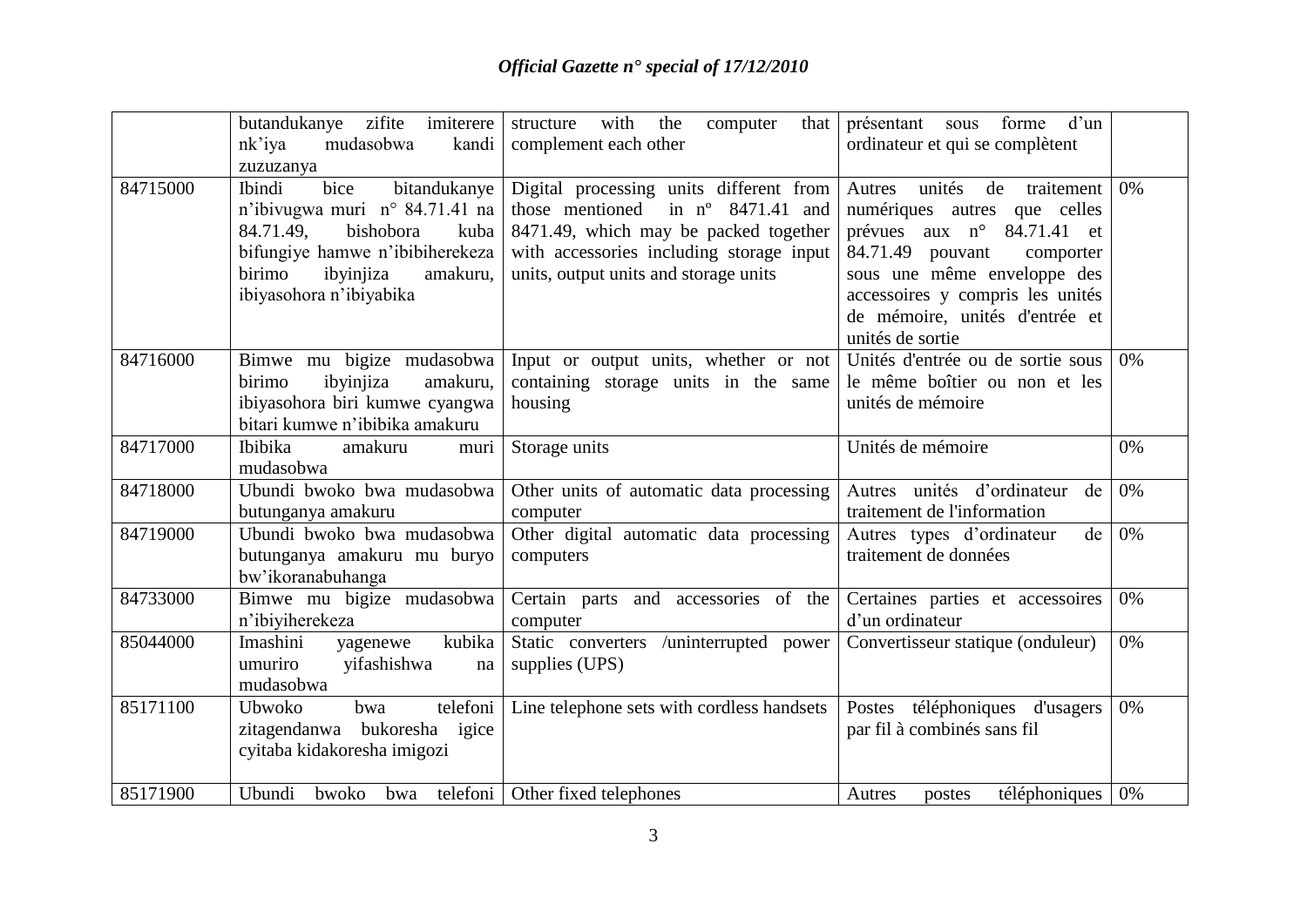|          | imiterere<br>butandukanye zifite<br>$nk$ <sup><math>i</math></sup> ya<br>mudasobwa<br>kandi<br>zuzuzanya                                                                                            | with<br>structure<br>the<br>computer<br>that<br>complement each other                                                                                                                                                  | présentant<br>forme<br>d'un<br>sous<br>ordinateur et qui se complètent                                                                                                                                                                                       |    |
|----------|-----------------------------------------------------------------------------------------------------------------------------------------------------------------------------------------------------|------------------------------------------------------------------------------------------------------------------------------------------------------------------------------------------------------------------------|--------------------------------------------------------------------------------------------------------------------------------------------------------------------------------------------------------------------------------------------------------------|----|
| 84715000 | bice<br>bitandukanye<br>Ibindi<br>n'ibivugwa muri n° 84.71.41 na<br>84.71.49,<br>bishobora<br>kuba<br>bifungiye hamwe n'ibibiherekeza<br>birimo<br>ibyinjiza<br>amakuru,<br>ibiyasohora n'ibiyabika | Digital processing units different from<br>in $n^{\circ}$ 8471.41 and<br>those mentioned<br>8471.49, which may be packed together<br>with accessories including storage input<br>units, output units and storage units | unités<br>de<br>traitement<br>Autres<br>numériques autres que celles<br>prévues aux n° 84.71.41 et<br>84.71.49 pouvant<br>comporter<br>sous une même enveloppe des<br>accessoires y compris les unités<br>de mémoire, unités d'entrée et<br>unités de sortie | 0% |
| 84716000 | Bimwe mu bigize mudasobwa<br>birimo<br>ibyinjiza<br>amakuru,<br>ibiyasohora biri kumwe cyangwa<br>bitari kumwe n'ibibika amakuru                                                                    | Input or output units, whether or not<br>containing storage units in the same<br>housing                                                                                                                               | Unités d'entrée ou de sortie sous<br>le même boîtier ou non et les<br>unités de mémoire                                                                                                                                                                      | 0% |
| 84717000 | Ibibika<br>muri<br>amakuru<br>mudasobwa                                                                                                                                                             | Storage units                                                                                                                                                                                                          | Unités de mémoire                                                                                                                                                                                                                                            | 0% |
| 84718000 | Ubundi bwoko bwa mudasobwa<br>butunganya amakuru                                                                                                                                                    | Other units of automatic data processing<br>computer                                                                                                                                                                   | Autres unités d'ordinateur<br>de<br>traitement de l'information                                                                                                                                                                                              | 0% |
| 84719000 | Ubundi bwoko bwa mudasobwa<br>butunganya amakuru mu buryo<br>bw'ikoranabuhanga                                                                                                                      | Other digital automatic data processing<br>computers                                                                                                                                                                   | Autres types d'ordinateur<br>de<br>traitement de données                                                                                                                                                                                                     | 0% |
| 84733000 | Bimwe mu bigize mudasobwa<br>n'ibiyiherekeza                                                                                                                                                        | Certain parts and accessories of the<br>computer                                                                                                                                                                       | Certaines parties et accessoires<br>d'un ordinateur                                                                                                                                                                                                          | 0% |
| 85044000 | Imashini<br>kubika<br>yagenewe<br>umuriro<br>yifashishwa<br>na<br>mudasobwa                                                                                                                         | Static converters /uninterrupted power<br>supplies (UPS)                                                                                                                                                               | Convertisseur statique (onduleur)                                                                                                                                                                                                                            | 0% |
| 85171100 | telefoni<br>Ubwoko<br>bwa<br>zitagendanwa bukoresha igice<br>cyitaba kidakoresha imigozi                                                                                                            | Line telephone sets with cordless handsets                                                                                                                                                                             | Postes téléphoniques d'usagers<br>par fil à combinés sans fil                                                                                                                                                                                                | 0% |
| 85171900 | Ubundi<br>bwoko                                                                                                                                                                                     | bwa telefoni   Other fixed telephones                                                                                                                                                                                  | Autres<br>téléphoniques<br>postes                                                                                                                                                                                                                            | 0% |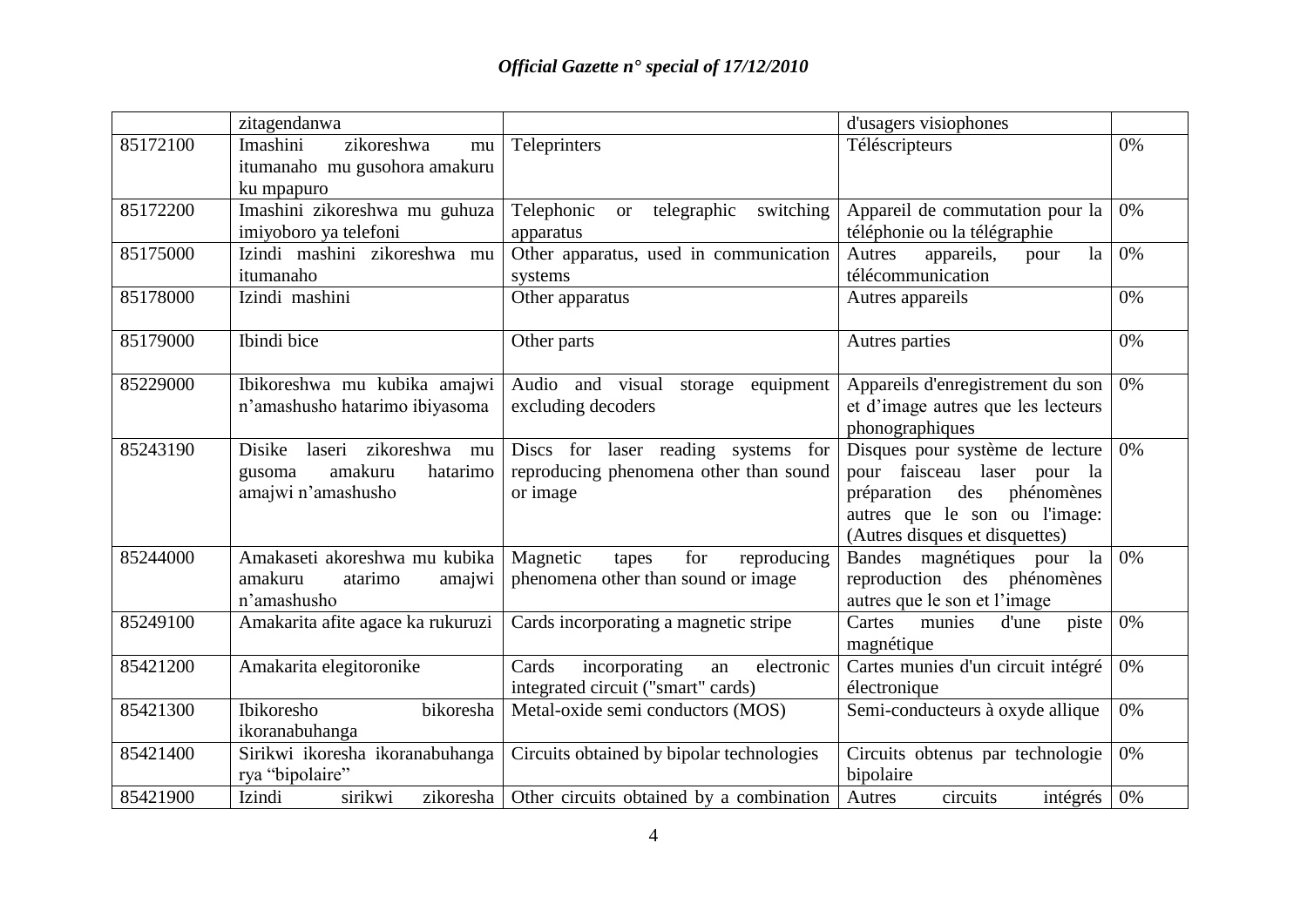|          | zitagendanwa                                                                                |                                                                                           | d'usagers visiophones                                                                                                                                                 |    |
|----------|---------------------------------------------------------------------------------------------|-------------------------------------------------------------------------------------------|-----------------------------------------------------------------------------------------------------------------------------------------------------------------------|----|
| 85172100 | Imashini<br>zikoreshwa<br>mu<br>itumanaho mu gusohora amakuru                               | Teleprinters                                                                              | Téléscripteurs                                                                                                                                                        | 0% |
|          | ku mpapuro                                                                                  |                                                                                           |                                                                                                                                                                       |    |
| 85172200 | Imashini zikoreshwa mu guhuza<br>imiyoboro ya telefoni                                      | Telephonic<br>telegraphic<br>switching<br><b>or</b><br>apparatus                          | Appareil de commutation pour la<br>téléphonie ou la télégraphie                                                                                                       | 0% |
| 85175000 | Izindi mashini zikoreshwa mu<br>itumanaho                                                   | Other apparatus, used in communication<br>systems                                         | Autres<br>appareils,<br>la<br>pour<br>télécommunication                                                                                                               | 0% |
| 85178000 | Izindi mashini                                                                              | Other apparatus                                                                           | Autres appareils                                                                                                                                                      | 0% |
| 85179000 | Ibindi bice                                                                                 | Other parts                                                                               | Autres parties                                                                                                                                                        | 0% |
| 85229000 | Ibikoreshwa mu kubika amajwi<br>n'amashusho hatarimo ibiyasoma                              | Audio and visual storage equipment<br>excluding decoders                                  | Appareils d'enregistrement du son<br>et d'image autres que les lecteurs<br>phonographiques                                                                            | 0% |
| 85243190 | Disike<br>zikoreshwa<br>laseri<br>mu<br>amakuru<br>hatarimo<br>gusoma<br>amajwi n'amashusho | Discs for laser reading systems for<br>reproducing phenomena other than sound<br>or image | Disques pour système de lecture<br>pour faisceau laser pour la<br>des<br>phénomènes<br>préparation<br>autres que le son ou l'image:<br>(Autres disques et disquettes) | 0% |
| 85244000 | Amakaseti akoreshwa mu kubika<br>amakuru<br>atarimo<br>amajwi<br>n'amashusho                | Magnetic<br>for<br>reproducing<br>tapes<br>phenomena other than sound or image            | Bandes magnétiques pour<br>la<br>reproduction des phénomènes<br>autres que le son et l'image                                                                          | 0% |
| 85249100 | Amakarita afite agace ka rukuruzi                                                           | Cards incorporating a magnetic stripe                                                     | piste<br>Cartes<br>munies<br>d'une<br>magnétique                                                                                                                      | 0% |
| 85421200 | Amakarita elegitoronike                                                                     | incorporating<br>electronic<br>Cards<br>an<br>integrated circuit ("smart" cards)          | Cartes munies d'un circuit intégré<br>électronique                                                                                                                    | 0% |
| 85421300 | Ibikoresho<br>bikoresha<br>ikoranabuhanga                                                   | Metal-oxide semi conductors (MOS)                                                         | Semi-conducteurs à oxyde allique                                                                                                                                      | 0% |
| 85421400 | Sirikwi ikoresha ikoranabuhanga<br>rya "bipolaire"                                          | Circuits obtained by bipolar technologies                                                 | Circuits obtenus par technologie<br>bipolaire                                                                                                                         | 0% |
| 85421900 | Izindi<br>sirikwi<br>zikoresha                                                              | Other circuits obtained by a combination                                                  | circuits<br>Autres<br>intégrés                                                                                                                                        | 0% |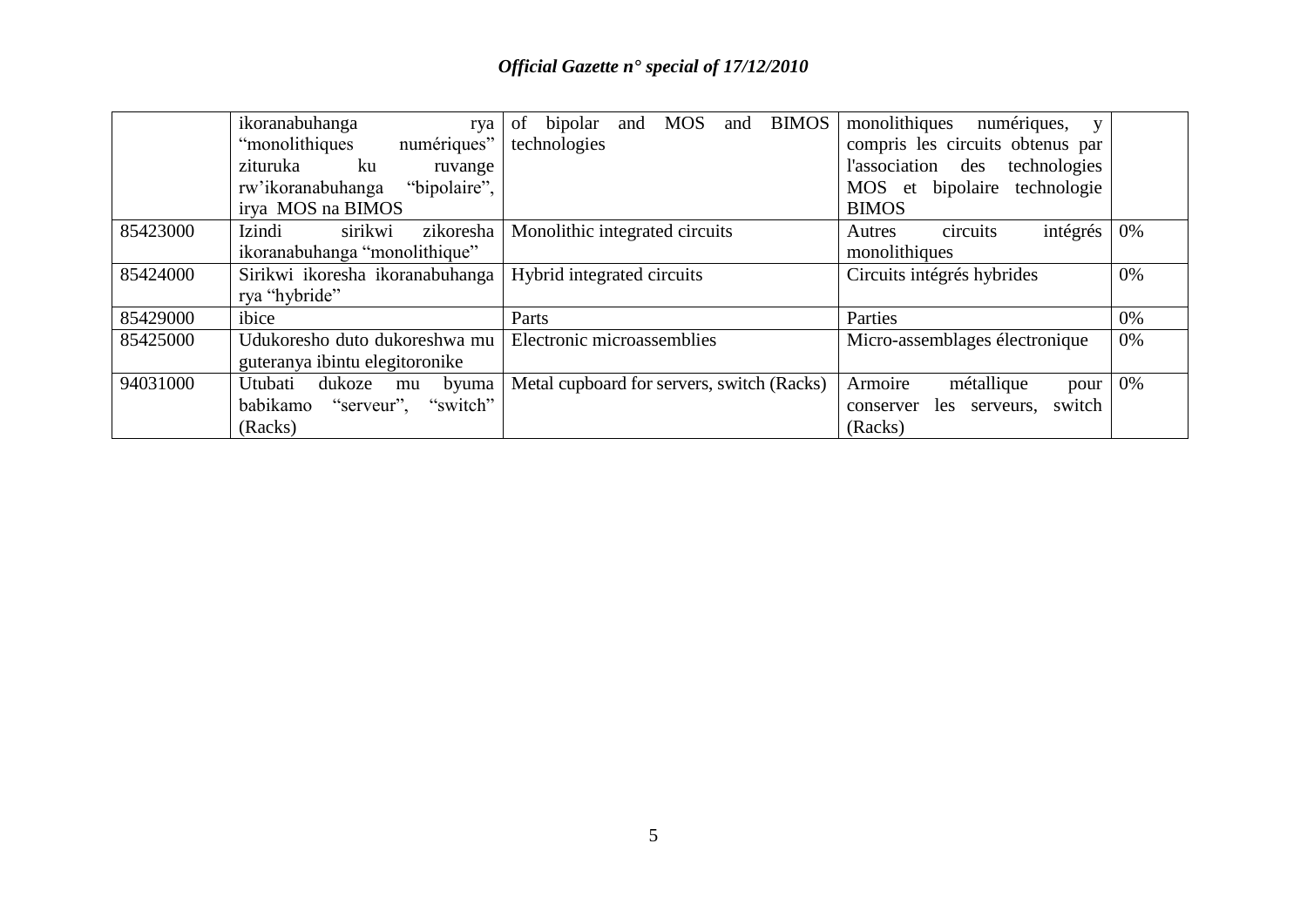|          | ikoranabuhanga<br>rva             | <b>BIMOS</b><br><b>MOS</b><br>of<br>bipolar<br>and<br>and | monolithiques<br>numériques,<br>V         |    |
|----------|-----------------------------------|-----------------------------------------------------------|-------------------------------------------|----|
|          | numériques"<br>"monolithiques"    | technologies                                              | compris les circuits obtenus par          |    |
|          | zituruka<br>ku<br>ruvange         |                                                           | l'association<br>des<br>technologies      |    |
|          | "bipolaire",<br>rw'ikoranabuhanga |                                                           | <b>MOS</b><br>technologie<br>et bipolaire |    |
|          | irya MOS na BIMOS                 |                                                           | <b>BIMOS</b>                              |    |
| 85423000 | Izindi<br>sirikwi<br>zikoresha    | Monolithic integrated circuits                            | circuits<br>intégrés<br>Autres            | 0% |
|          | ikoranabuhanga "monolithique"     |                                                           | monolithiques                             |    |
| 85424000 | Sirikwi ikoresha ikoranabuhanga   | Hybrid integrated circuits                                | Circuits intégrés hybrides                | 0% |
|          | rya "hybride"                     |                                                           |                                           |    |
| 85429000 | ibice                             | Parts                                                     | Parties                                   | 0% |
| 85425000 | Udukoresho duto dukoreshwa mu     | Electronic microassemblies                                | Micro-assemblages électronique            | 0% |
|          | guteranya ibintu elegitoronike    |                                                           |                                           |    |
| 94031000 | dukoze<br>Utubati<br>byuma<br>mu  | Metal cupboard for servers, switch (Racks)                | métallique<br>Armoire<br>pour             | 0% |
|          | babikamo "serveur", "switch"      |                                                           | switch<br>les serveurs,<br>conserver      |    |
|          | (Racks)                           |                                                           | (Racks)                                   |    |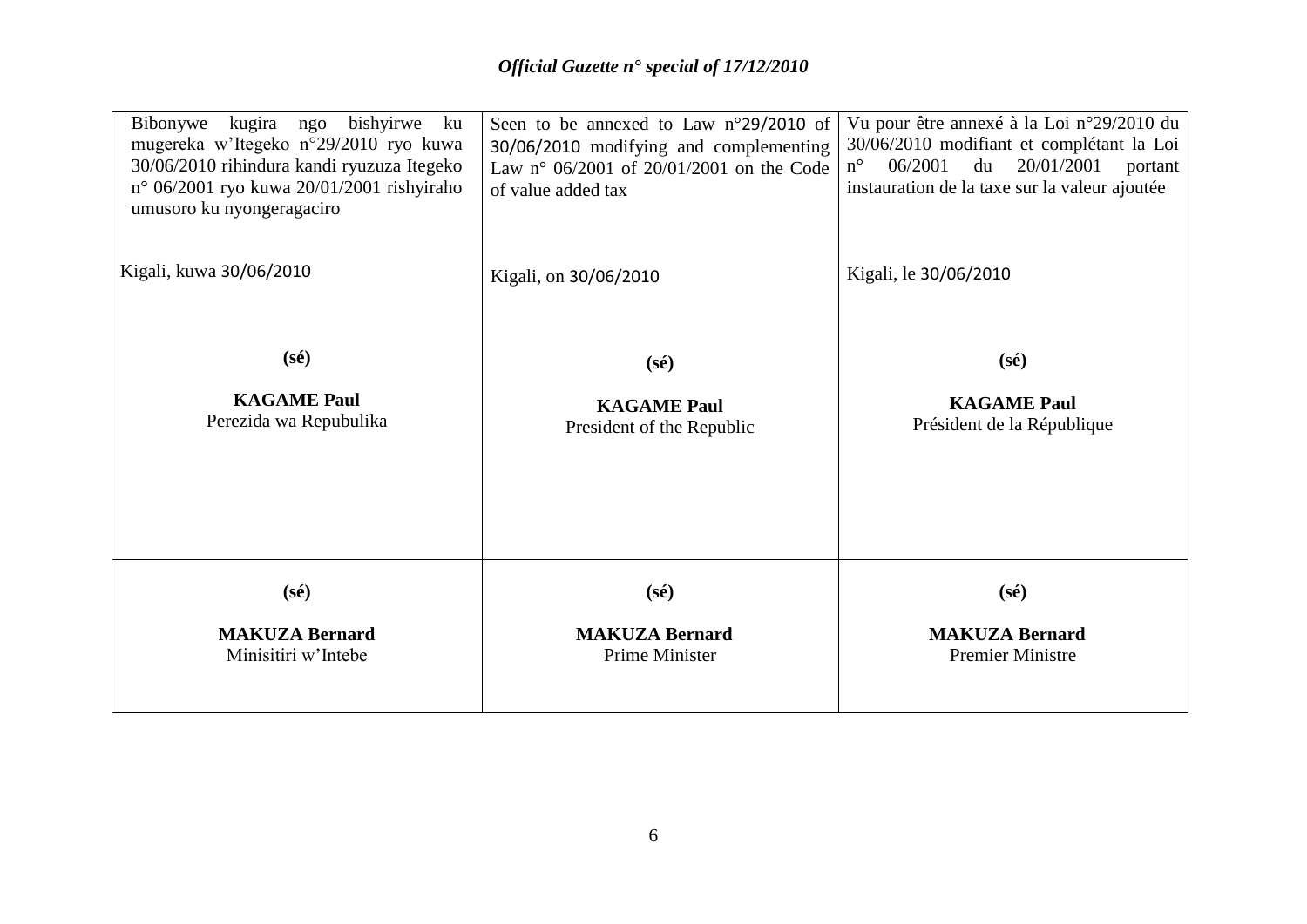| kugira ngo<br>bishyirwe<br>Bibonywe<br>ku<br>mugereka w'Itegeko n°29/2010 ryo kuwa<br>30/06/2010 rihindura kandi ryuzuza Itegeko<br>n° 06/2001 ryo kuwa 20/01/2001 rishyiraho<br>umusoro ku nyongeragaciro | Seen to be annexed to Law n°29/2010 of<br>30/06/2010 modifying and complementing<br>Law n° 06/2001 of 20/01/2001 on the Code<br>of value added tax | Vu pour être annexé à la Loi n°29/2010 du<br>30/06/2010 modifiant et complétant la Loi<br>20/01/2001<br>06/2001<br>du<br>$n^{\circ}$<br>portant<br>instauration de la taxe sur la valeur ajoutée |
|------------------------------------------------------------------------------------------------------------------------------------------------------------------------------------------------------------|----------------------------------------------------------------------------------------------------------------------------------------------------|--------------------------------------------------------------------------------------------------------------------------------------------------------------------------------------------------|
| Kigali, kuwa 30/06/2010                                                                                                                                                                                    | Kigali, on 30/06/2010                                                                                                                              | Kigali, le 30/06/2010                                                                                                                                                                            |
| $(s\acute{e})$                                                                                                                                                                                             | $(s\acute{e})$                                                                                                                                     | $(s\acute{e})$                                                                                                                                                                                   |
| <b>KAGAME Paul</b><br>Perezida wa Repubulika                                                                                                                                                               | <b>KAGAME Paul</b><br>President of the Republic                                                                                                    | <b>KAGAME Paul</b><br>Président de la République                                                                                                                                                 |
| $(s\acute{e})$                                                                                                                                                                                             | $(s\acute{e})$                                                                                                                                     | $(s\acute{e})$                                                                                                                                                                                   |
| <b>MAKUZA Bernard</b><br>Minisitiri w'Intebe                                                                                                                                                               | <b>MAKUZA Bernard</b><br>Prime Minister                                                                                                            | <b>MAKUZA Bernard</b><br><b>Premier Ministre</b>                                                                                                                                                 |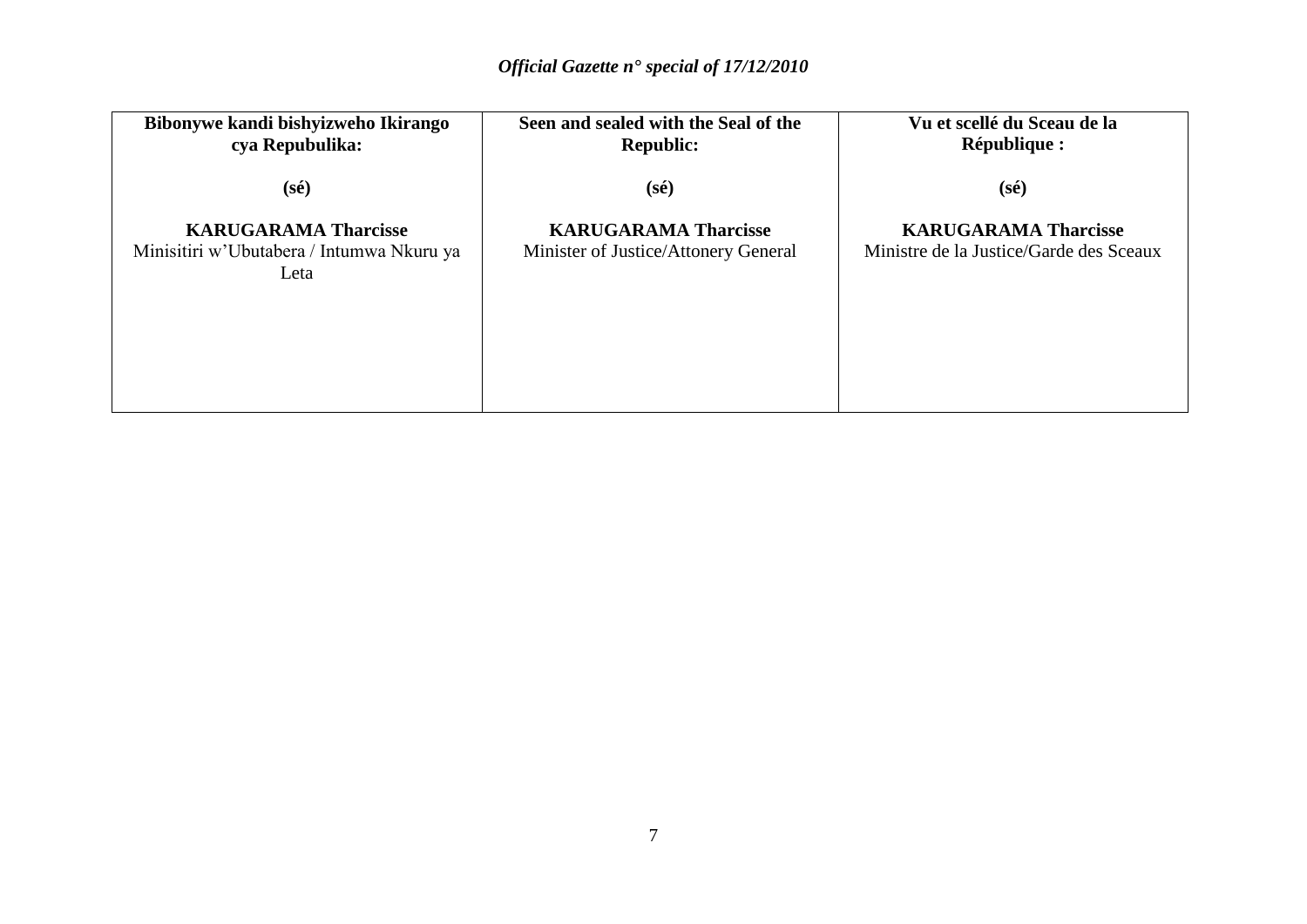| Bibonywe kandi bishyizweho Ikirango<br>cya Repubulika:                           | Seen and sealed with the Seal of the<br><b>Republic:</b>            | Vu et scellé du Sceau de la<br><b>République :</b>                     |
|----------------------------------------------------------------------------------|---------------------------------------------------------------------|------------------------------------------------------------------------|
| $(s\acute{e})$                                                                   | $(s\acute{e})$                                                      | $(s\acute{e})$                                                         |
| <b>KARUGARAMA Tharcisse</b><br>Minisitiri w'Ubutabera / Intumwa Nkuru ya<br>Leta | <b>KARUGARAMA Tharcisse</b><br>Minister of Justice/Attonery General | <b>KARUGARAMA Tharcisse</b><br>Ministre de la Justice/Garde des Sceaux |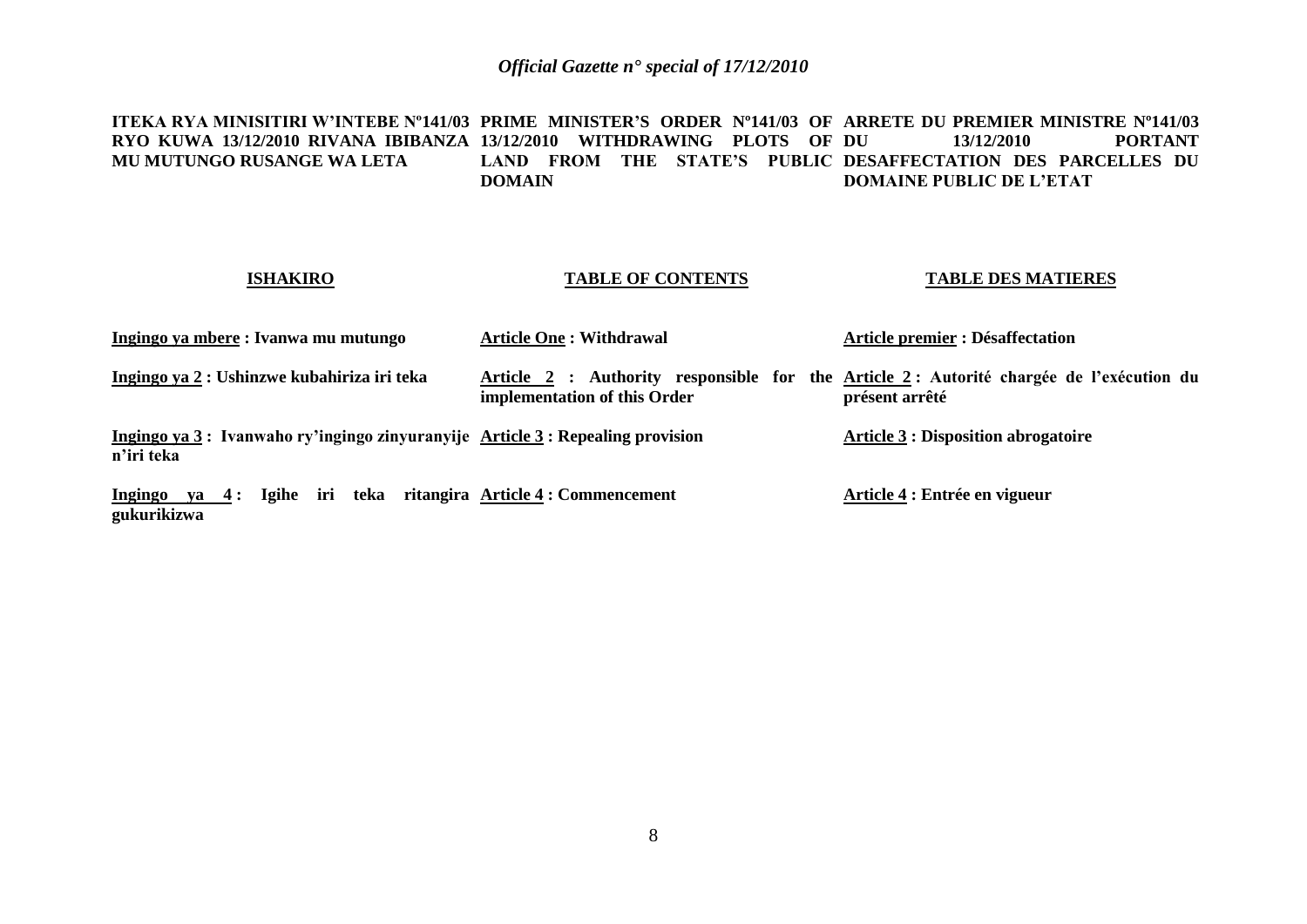**ITEKA RYA MINISITIRI W'INTEBE Nº141/03 PRIME MINISTER'S ORDER Nº141/03 OF ARRETE DU PREMIER MINISTRE Nº141/03 RYO KUWA 13/12/2010 RIVANA IBIBANZA 13/12/2010 WITHDRAWING PLOTS OF MU MUTUNGO RUSANGE WA LETA** LAND FROM THE STATE'S PUBLIC DESAFFECTATION DES PARCELLES DU **DOMAIN** 13/12/2010 **PORTANT DOMAINE PUBLIC DE L'ETAT**

## **ISHAKIRO**

**gukurikizwa**

# **TABLE OF CONTENTS**

# **TABLE DES MATIERES**

| Ingingo ya mbere: Ivanwa mu mutungo                                                         | <b>Article One: Withdrawal</b>     | <b>Article premier : Désaffectation</b>                                                                    |
|---------------------------------------------------------------------------------------------|------------------------------------|------------------------------------------------------------------------------------------------------------|
| Ingingo ya 2 : Ushinzwe kubahiriza iri teka                                                 | implementation of this Order       | Article 2 : Authority responsible for the Article 2 : Autorité chargée de l'exécution du<br>présent arrêté |
| Ingingo ya 3: Ivanwaho ry'ingingo zinyuranyije Article 3: Repealing provision<br>n'iri teka |                                    | <b>Article 3 : Disposition abrogatoire</b>                                                                 |
| iri<br>teka<br>Ingingo<br><b>Igihe</b><br>$ya \quad 4:$                                     | ritangira Article 4 : Commencement | Article 4 : Entrée en vigueur                                                                              |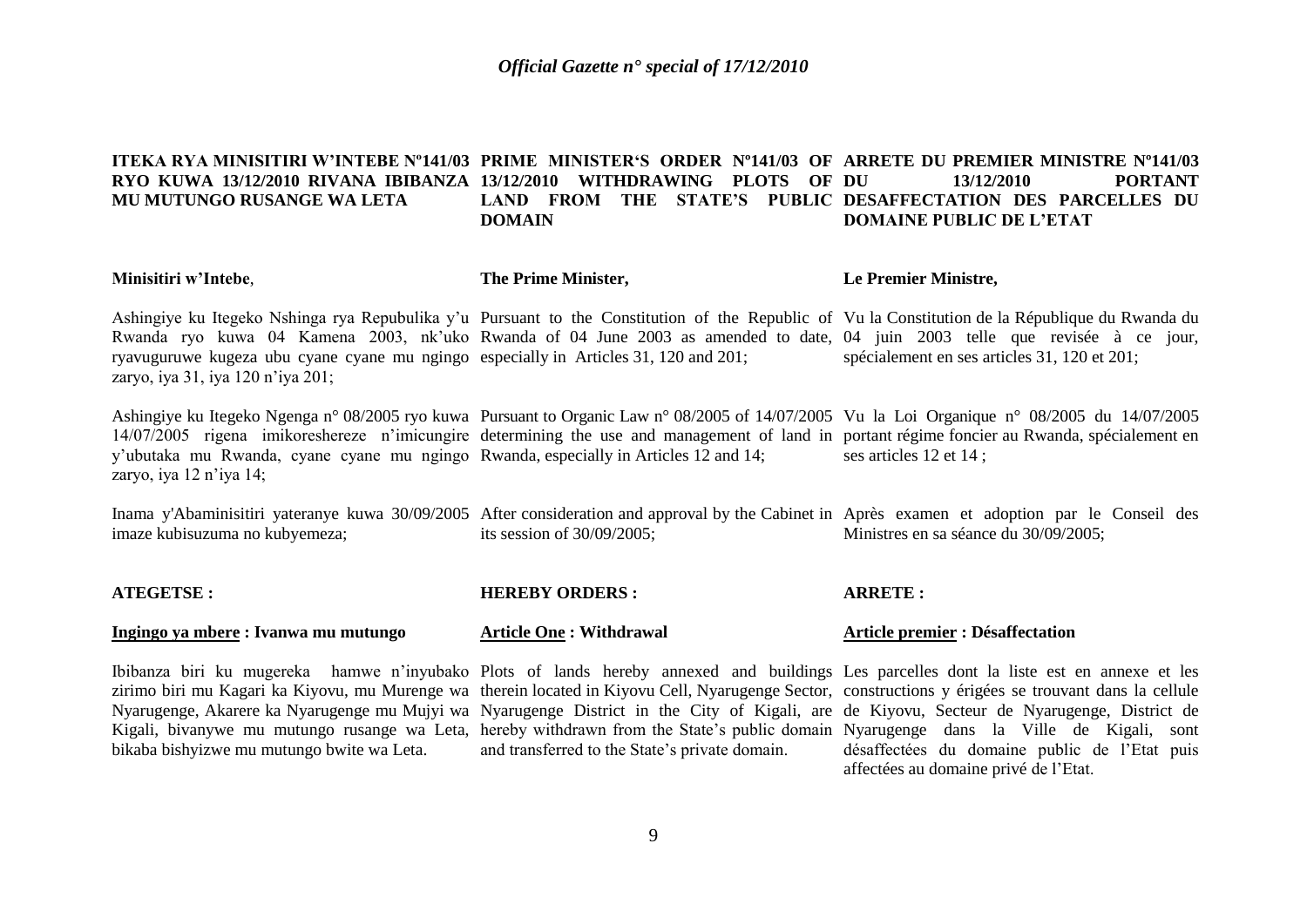### **ITEKA RYA MINISITIRI W'INTEBE Nº141/03 PRIME MINISTER'S ORDER Nº141/03 OF ARRETE DU PREMIER MINISTRE Nº141/03 RYO KUWA 13/12/2010 RIVANA IBIBANZA 13/12/2010 WITHDRAWING PLOTS OF MU MUTUNGO RUSANGE WA LETA** LAND FROM THE STATE'S PUBLIC DESAFFECTATION DES PARCELLES DU **DOMAIN DU 13/12/2010 PORTANT DOMAINE PUBLIC DE L'ETAT**

| Minisitiri w'Intebe,                                                                                                                                  | The Prime Minister,            | Le Premier Ministre,                                                                                                                                                                                                                                                                                                            |
|-------------------------------------------------------------------------------------------------------------------------------------------------------|--------------------------------|---------------------------------------------------------------------------------------------------------------------------------------------------------------------------------------------------------------------------------------------------------------------------------------------------------------------------------|
| ryavuguruwe kugeza ubu cyane cyane mu ngingo especially in Articles 31, 120 and 201;<br>zaryo, iya 31, iya 120 n'iya 201;                             |                                | Ashingiye ku Itegeko Nshinga rya Repubulika y'u Pursuant to the Constitution of the Republic of Vu la Constitution de la République du Rwanda du<br>Rwanda ryo kuwa 04 Kamena 2003, nk'uko Rwanda of 04 June 2003 as amended to date, 04 juin 2003 telle que revisée à ce jour,<br>spécialement en ses articles 31, 120 et 201; |
| y'ubutaka mu Rwanda, cyane cyane mu ngingo Rwanda, especially in Articles 12 and 14;<br>zaryo, iya 12 n'iya 14;                                       |                                | Ashingiye ku Itegeko Ngenga n° 08/2005 ryo kuwa Pursuant to Organic Law n° 08/2005 of 14/07/2005 Vu la Loi Organique n° 08/2005 du 14/07/2005<br>14/07/2005 rigena imikoreshereze n'imicungire determining the use and management of land in portant régime foncier au Rwanda, spécialement en<br>ses articles 12 et 14;        |
| imaze kubisuzuma no kubyemeza;                                                                                                                        | its session of $30/09/2005$ ;  | Inama y'Abaminisitiri yateranye kuwa 30/09/2005 After consideration and approval by the Cabinet in Après examen et adoption par le Conseil des<br>Ministres en sa séance du 30/09/2005;                                                                                                                                         |
| <b>ATEGETSE:</b>                                                                                                                                      | <b>HEREBY ORDERS:</b>          | <b>ARRETE:</b>                                                                                                                                                                                                                                                                                                                  |
| Ingingo ya mbere: Ivanwa mu mutungo                                                                                                                   | <b>Article One: Withdrawal</b> | <b>Article premier : Désaffectation</b>                                                                                                                                                                                                                                                                                         |
| zirimo biri mu Kagari ka Kiyovu, mu Murenge wa therein located in Kiyovu Cell, Nyarugenge Sector, constructions y érigées se trouvant dans la cellule |                                | Ibibanza biri ku mugereka hamwe n'inyubako Plots of lands hereby annexed and buildings Les parcelles dont la liste est en annexe et les                                                                                                                                                                                         |

bikaba bishyizwe mu mutungo bwite wa Leta.

and transferred to the State's private domain.

Nyarugenge, Akarere ka Nyarugenge mu Mujyi wa Nyarugenge District in the City of Kigali, are de Kiyovu, Secteur de Nyarugenge, District de Kigali, bivanywe mu mutungo rusange wa Leta, hereby withdrawn from the State's public domain Nyarugenge dans la Ville de Kigali, sont constructions y érigées se trouvant dans la cellule désaffectées du domaine public de l'Etat puis affectées au domaine privé de l'Etat.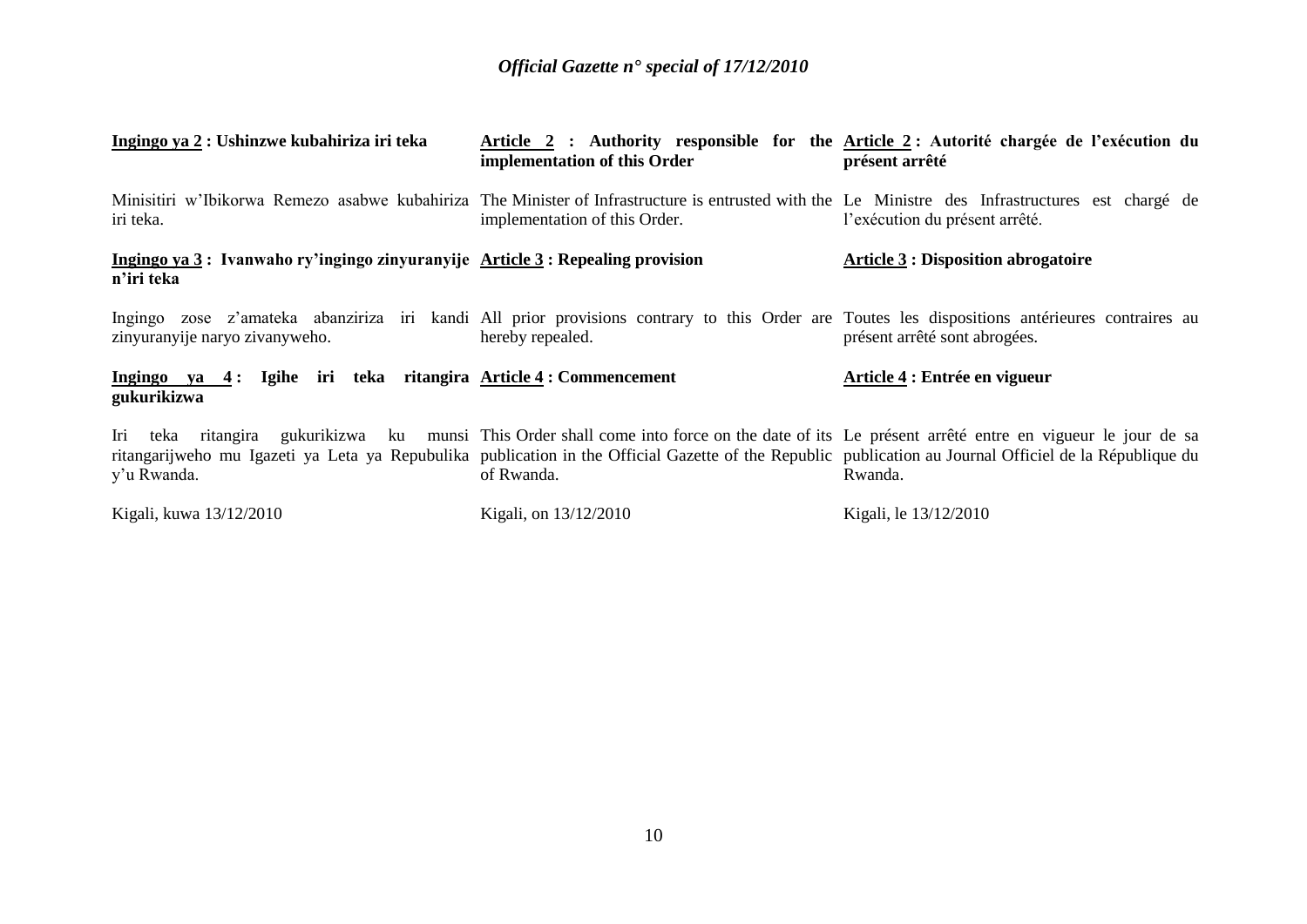| Ingingo ya 2 : Ushinzwe kubahiriza iri teka                                                                                                                                                                                                                                                                            | implementation of this Order  | Article 2 : Authority responsible for the Article 2 : Autorité chargée de l'exécution du<br>présent arrêté |
|------------------------------------------------------------------------------------------------------------------------------------------------------------------------------------------------------------------------------------------------------------------------------------------------------------------------|-------------------------------|------------------------------------------------------------------------------------------------------------|
| Minisitiri w'Ibikorwa Remezo asabwe kubahiriza The Minister of Infrastructure is entrusted with the Le Ministre des Infrastructures est chargé de<br>iri teka.                                                                                                                                                         | implementation of this Order. | l'exécution du présent arrêté.                                                                             |
| Ingingo ya 3: Ivanwaho ry'ingingo zinyuranyije Article 3: Repealing provision<br>n'iri teka                                                                                                                                                                                                                            |                               | <b>Article 3 : Disposition abrogatoire</b>                                                                 |
| Ingingo zose z'amateka abanziriza iri kandi All prior provisions contrary to this Order are Toutes les dispositions antérieures contraires au<br>zinyuranyije naryo zivanyweho.                                                                                                                                        | hereby repealed.              | présent arrêté sont abrogées.                                                                              |
| Ingingo ya 4: Igihe iri teka ritangira Article 4: Commencement<br>gukurikizwa                                                                                                                                                                                                                                          |                               | Article 4 : Entrée en vigueur                                                                              |
| Iri teka ritangira gukurikizwa ku munsi This Order shall come into force on the date of its Le présent arrêté entre en vigueur le jour de sa<br>ritangarijweho mu Igazeti ya Leta ya Repubulika publication in the Official Gazette of the Republic publication au Journal Officiel de la République du<br>y'u Rwanda. | of Rwanda.                    | Rwanda.                                                                                                    |
| Kigali, kuwa 13/12/2010                                                                                                                                                                                                                                                                                                | Kigali, on 13/12/2010         | Kigali, le 13/12/2010                                                                                      |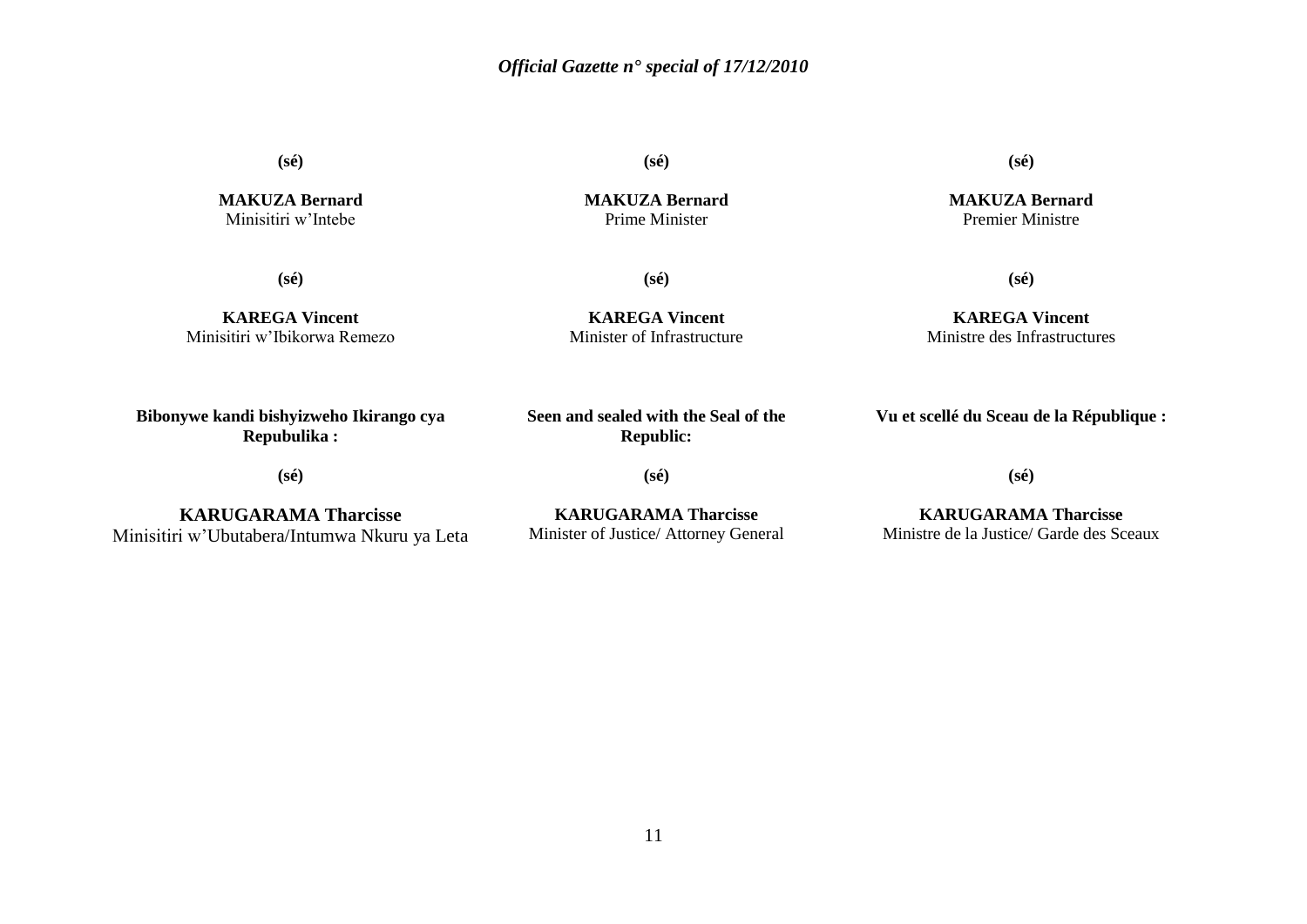**(sé)**

**MAKUZA Bernard** Minisitiri w'Intebe

**(sé)**

**(sé)**

**MAKUZA Bernard** Premier Ministre

**MAKUZA Bernard** Prime Minister

**(sé)**

**(sé)**

**KAREGA Vincent** Minisitiri w'Ibikorwa Remezo

**KAREGA Vincent** Minister of Infrastructure

# **KAREGA Vincent** Ministre des Infrastructures

**(sé)**

**Bibonywe kandi bishyizweho Ikirango cya Repubulika :**

**Seen and sealed with the Seal of the Republic:**

**Vu et scellé du Sceau de la République :**

**(sé)**

**KARUGARAMA Tharcisse** Minisitiri w'Ubutabera/Intumwa Nkuru ya Leta

**KARUGARAMA Tharcisse** Minister of Justice/ Attorney General

**(sé)**

**(sé)**

**KARUGARAMA Tharcisse** Ministre de la Justice/ Garde des Sceaux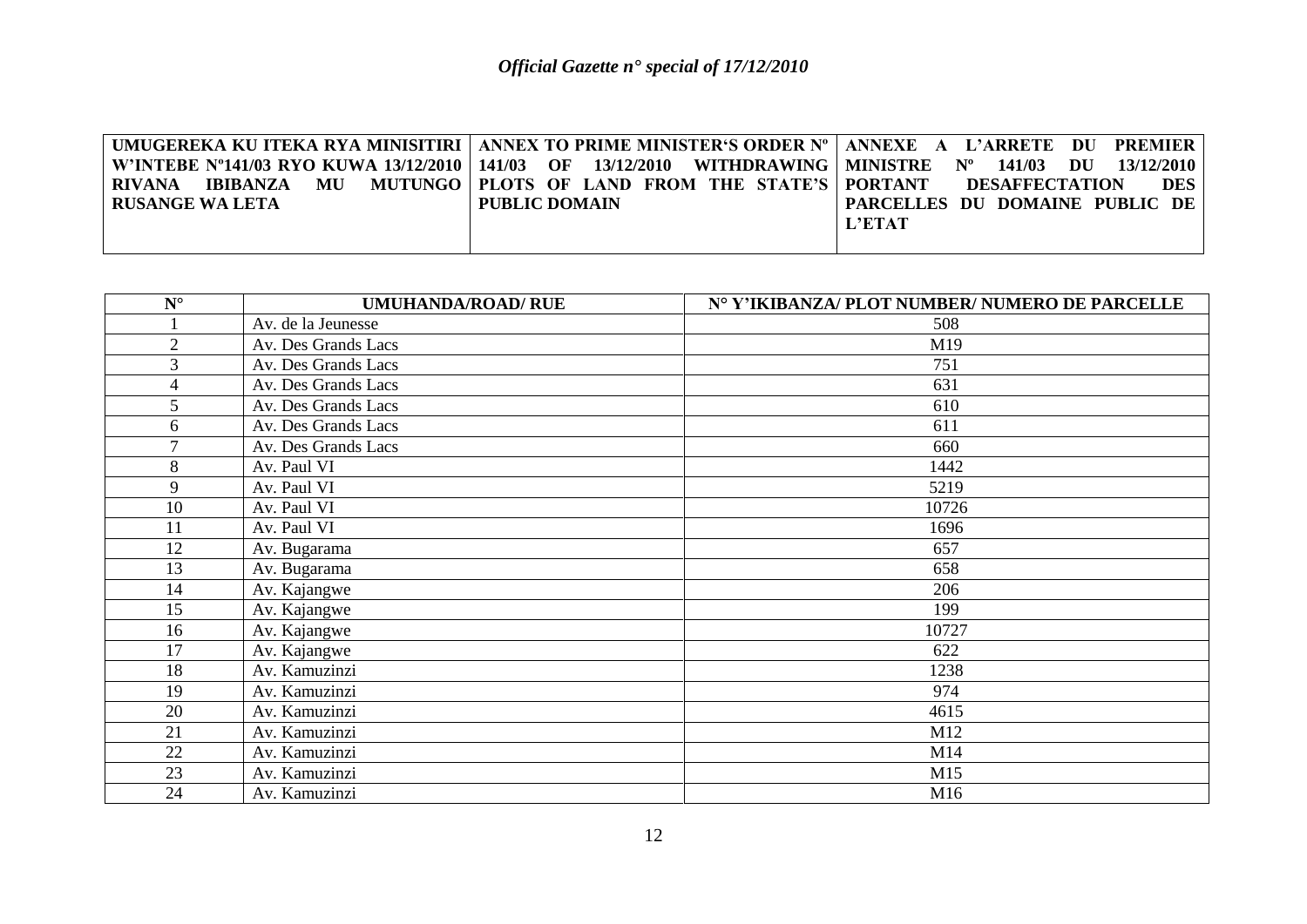|                 | UMUGEREKA KU ITEKA RYA MINISITIRI   ANNEX TO PRIME MINISTER'S ORDER N°   ANNEXE A L'ARRETE DU PREMIER |                                     |
|-----------------|-------------------------------------------------------------------------------------------------------|-------------------------------------|
|                 | W'INTEBE N°141/03 RYO KUWA 13/12/2010   141/03 OF 13/12/2010 WITHDRAWING   MINISTRE N°                | 13/12/2010<br>141/03 DU             |
| RIVANA          | <b>IBIBANZA MU MUTUNGO PLOTS OF LAND FROM THE STATE'S PORTANT</b>                                     | <b>DES</b><br><b>DESAFFECTATION</b> |
| RUSANGE WA LETA | PUBLIC DOMAIN                                                                                         | PARCELLES DU DOMAINE PUBLIC DE      |
|                 |                                                                                                       | <b>L'ETAT</b>                       |
|                 |                                                                                                       |                                     |

| $\mathbf{N}^\circ$ | <b>UMUHANDA/ROAD/ RUE</b> | N° Y'IKIBANZA/ PLOT NUMBER/ NUMERO DE PARCELLE |
|--------------------|---------------------------|------------------------------------------------|
|                    | Av. de la Jeunesse        | 508                                            |
| $\overline{2}$     | Av. Des Grands Lacs       | M19                                            |
| 3                  | Av. Des Grands Lacs       | 751                                            |
| 4                  | Av. Des Grands Lacs       | 631                                            |
| 5                  | Av. Des Grands Lacs       | 610                                            |
| 6                  | Av. Des Grands Lacs       | 611                                            |
| $\tau$             | Av. Des Grands Lacs       | 660                                            |
| 8                  | Av. Paul VI               | 1442                                           |
| 9                  | Av. Paul VI               | 5219                                           |
| 10                 | Av. Paul VI               | 10726                                          |
| 11                 | Av. Paul VI               | 1696                                           |
| 12                 | Av. Bugarama              | 657                                            |
| 13                 | Av. Bugarama              | 658                                            |
| 14                 | Av. Kajangwe              | 206                                            |
| 15                 | Av. Kajangwe              | 199                                            |
| 16                 | Av. Kajangwe              | 10727                                          |
| 17                 | Av. Kajangwe              | 622                                            |
| 18                 | Av. Kamuzinzi             | 1238                                           |
| 19                 | Av. Kamuzinzi             | 974                                            |
| 20                 | Av. Kamuzinzi             | 4615                                           |
| 21                 | Av. Kamuzinzi             | M12                                            |
| 22                 | Av. Kamuzinzi             | M14                                            |
| 23                 | Av. Kamuzinzi             | M15                                            |
| 24                 | Av. Kamuzinzi             | M16                                            |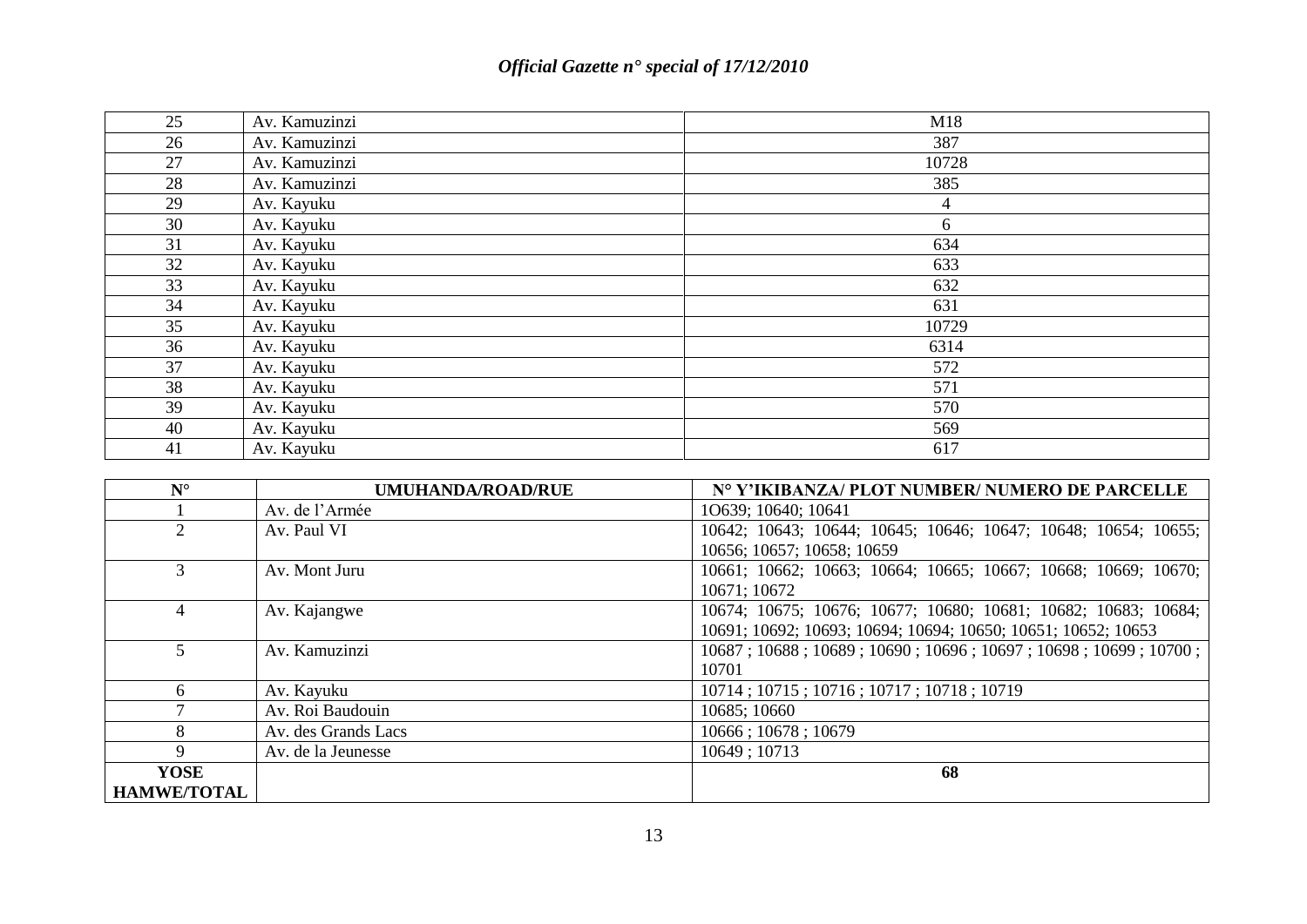| 25 | Av. Kamuzinzi | M18   |
|----|---------------|-------|
| 26 | Av. Kamuzinzi | 387   |
| 27 | Av. Kamuzinzi | 10728 |
| 28 | Av. Kamuzinzi | 385   |
| 29 | Av. Kayuku    | 4     |
| 30 | Av. Kayuku    | 6     |
| 31 | Av. Kayuku    | 634   |
| 32 | Av. Kayuku    | 633   |
| 33 | Av. Kayuku    | 632   |
| 34 | Av. Kayuku    | 631   |
| 35 | Av. Kayuku    | 10729 |
| 36 | Av. Kayuku    | 6314  |
| 37 | Av. Kayuku    | 572   |
| 38 | Av. Kayuku    | 571   |
| 39 | Av. Kayuku    | 570   |
| 40 | Av. Kayuku    | 569   |
| 41 | Av. Kayuku    | 617   |

| $N^{\circ}$        | <b>UMUHANDA/ROAD/RUE</b> | Nº Y'IKIBANZA/ PLOT NUMBER/ NUMERO DE PARCELLE                 |
|--------------------|--------------------------|----------------------------------------------------------------|
|                    | Av. de l'Armée           | 10639; 10640; 10641                                            |
|                    | Av. Paul VI              | 10642; 10643; 10644; 10645; 10646; 10647; 10648; 10654; 10655; |
|                    |                          | 10656; 10657; 10658; 10659                                     |
| 3                  | Av. Mont Juru            | 10661; 10662; 10663; 10664; 10665; 10667; 10668; 10669; 10670; |
|                    |                          | 10671; 10672                                                   |
|                    | Av. Kajangwe             | 10674; 10675; 10676; 10677; 10680; 10681; 10682; 10683; 10684; |
|                    |                          | 10691; 10692; 10693; 10694; 10694; 10650; 10651; 10652; 10653  |
|                    | Av. Kamuzinzi            | 10687; 10688; 10689; 10690; 10696; 10697; 10698; 10699; 10700; |
|                    |                          | 10701                                                          |
| 6                  | Av. Kayuku               | 10714; 10715; 10716; 10717; 10718; 10719                       |
|                    | Av. Roi Baudouin         | 10685; 10660                                                   |
| 8                  | Av. des Grands Lacs      | 10666; 10678; 10679                                            |
| 9                  | Av. de la Jeunesse       | 10649; 10713                                                   |
| <b>YOSE</b>        |                          | 68                                                             |
| <b>HAMWE/TOTAL</b> |                          |                                                                |